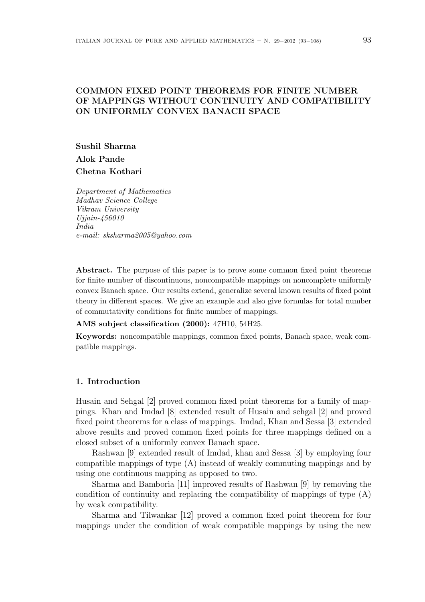# COMMON FIXED POINT THEOREMS FOR FINITE NUMBER OF MAPPINGS WITHOUT CONTINUITY AND COMPATIBILITY ON UNIFORMLY CONVEX BANACH SPACE

Sushil Sharma Alok Pande Chetna Kothari

Department of Mathematics Madhav Science College Vikram University Ujjain-456010 India e-mail: sksharma2005@yahoo.com

Abstract. The purpose of this paper is to prove some common fixed point theorems for finite number of discontinuous, noncompatible mappings on noncomplete uniformly convex Banach space. Our results extend, generalize several known results of fixed point theory in different spaces. We give an example and also give formulas for total number of commutativity conditions for finite number of mappings.

### AMS subject classification (2000): 47H10, 54H25.

Keywords: noncompatible mappings, common fixed points, Banach space, weak compatible mappings.

## 1. Introduction

Husain and Sehgal [2] proved common fixed point theorems for a family of mappings. Khan and Imdad [8] extended result of Husain and sehgal [2] and proved fixed point theorems for a class of mappings. Imdad, Khan and Sessa [3] extended above results and proved common fixed points for three mappings defined on a closed subset of a uniformly convex Banach space.

Rashwan [9] extended result of Imdad, khan and Sessa [3] by employing four compatible mappings of type (A) instead of weakly commuting mappings and by using one continuous mapping as opposed to two.

Sharma and Bamboria [11] improved results of Rashwan [9] by removing the condition of continuity and replacing the compatibility of mappings of type (A) by weak compatibility.

Sharma and Tilwankar [12] proved a common fixed point theorem for four mappings under the condition of weak compatible mappings by using the new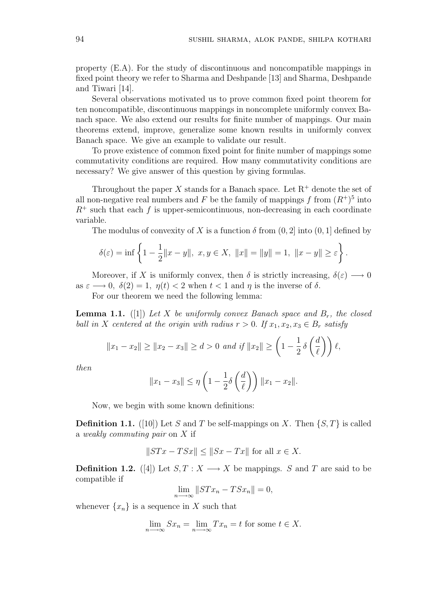property (E.A). For the study of discontinuous and noncompatible mappings in fixed point theory we refer to Sharma and Deshpande [13] and Sharma, Deshpande and Tiwari [14].

Several observations motivated us to prove common fixed point theorem for ten noncompatible, discontinuous mappings in noncomplete uniformly convex Banach space. We also extend our results for finite number of mappings. Our main theorems extend, improve, generalize some known results in uniformly convex Banach space. We give an example to validate our result.

To prove existence of common fixed point for finite number of mappings some commutativity conditions are required. How many commutativity conditions are necessary? We give answer of this question by giving formulas.

Throughout the paper X stands for a Banach space. Let  $R^+$  denote the set of all non-negative real numbers and F be the family of mappings f from  $(R^+)^5$  into  $R^+$  such that each f is upper-semicontinuous, non-decreasing in each coordinate variable.

The modulus of convexity of X is a function  $\delta$  from  $(0, 2]$  into  $(0, 1]$  defined by

$$
\delta(\varepsilon) = \inf \left\{ 1 - \frac{1}{2} ||x - y||, \ x, y \in X, \ ||x|| = ||y|| = 1, \ ||x - y|| \ge \varepsilon \right\}.
$$

Moreover, if X is uniformly convex, then  $\delta$  is strictly increasing,  $\delta(\varepsilon) \longrightarrow 0$ as  $\varepsilon \longrightarrow 0$ ,  $\delta(2) = 1$ ,  $\eta(t) < 2$  when  $t < 1$  and  $\eta$  is the inverse of  $\delta$ .

For our theorem we need the following lemma:

**Lemma 1.1.** ([1]) Let X be uniformly convex Banach space and  $B_r$ , the closed ball in X centered at the origin with radius  $r > 0$ . If  $x_1, x_2, x_3 \in B_r$  satisfy

$$
||x_1 - x_2|| \ge ||x_2 - x_3|| \ge d > 0
$$
 and if  $||x_2|| \ge \left(1 - \frac{1}{2} \delta\left(\frac{d}{\ell}\right)\right) \ell$ ,

then

$$
||x_1 - x_3|| \le \eta \left(1 - \frac{1}{2}\delta\left(\frac{d}{\ell}\right)\right) ||x_1 - x_2||.
$$

Now, we begin with some known definitions:

**Definition 1.1.** ([10]) Let S and T be self-mappings on X. Then  $\{S, T\}$  is called a weakly commuting pair on X if

$$
||STx - TSx|| \le ||Sx - Tx||
$$
 for all  $x \in X$ .

**Definition 1.2.** ([4]) Let  $S, T : X \longrightarrow X$  be mappings. S and T are said to be compatible if

$$
\lim_{n \to \infty} \|STx_n - TSx_n\| = 0,
$$

whenever  $\{x_n\}$  is a sequence in X such that

$$
\lim_{n \to \infty} Sx_n = \lim_{n \to \infty} Tx_n = t
$$
 for some  $t \in X$ .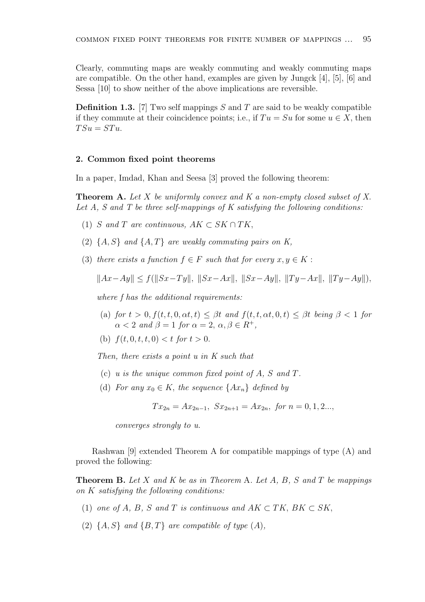Clearly, commuting maps are weakly commuting and weakly commuting maps are compatible. On the other hand, examples are given by Jungck [4], [5], [6] and Sessa [10] to show neither of the above implications are reversible.

**Definition 1.3.** [7] Two self mappings S and T are said to be weakly compatible if they commute at their coincidence points; i.e., if  $Tu = Su$  for some  $u \in X$ , then  $TSu = STu$ .

#### 2. Common fixed point theorems

In a paper, Imdad, Khan and Seesa [3] proved the following theorem:

**Theorem A.** Let X be uniformly convex and K a non-empty closed subset of X. Let  $A$ ,  $S$  and  $T$  be three self-mappings of  $K$  satisfying the following conditions:

- (1) S and T are continuous,  $AK \subset SK \cap TK$ ,
- (2)  $\{A, S\}$  and  $\{A, T\}$  are weakly commuting pairs on K,
- (3) there exists a function  $f \in F$  such that for every  $x, y \in K$ :

 $||Ax-Ay|| < f(||Sx-Ty||, ||Sx-Ax||, ||Sx-Ay||, ||Ty-Ax||, ||Ty-Ay||),$ 

where f has the additional requirements:

- (a) for  $t > 0$ ,  $f(t, t, 0, \alpha t, t) \leq \beta t$  and  $f(t, t, \alpha t, 0, t) \leq \beta t$  being  $\beta < 1$  for  $\alpha < 2$  and  $\beta = 1$  for  $\alpha = 2$ ,  $\alpha, \beta \in R^+$ .
- (b)  $f(t, 0, t, t, 0) < t$  for  $t > 0$ .

Then, there exists a point u in K such that

- (c) u is the unique common fixed point of A, S and T.
- (d) For any  $x_0 \in K$ , the sequence  $\{Ax_n\}$  defined by

$$
Tx_{2n} = Ax_{2n-1}, \ Sx_{2n+1} = Ax_{2n}, \ for \ n = 0, 1, 2...
$$

converges strongly to u.

Rashwan [9] extended Theorem A for compatible mappings of type (A) and proved the following:

**Theorem B.** Let X and K be as in Theorem A. Let A, B, S and T be mappings on K satisfying the following conditions:

- (1) one of A, B, S and T is continuous and  $AK \subset TK$ , BK  $\subset SK$ ,
- (2)  $\{A, S\}$  and  $\{B, T\}$  are compatible of type  $(A)$ ,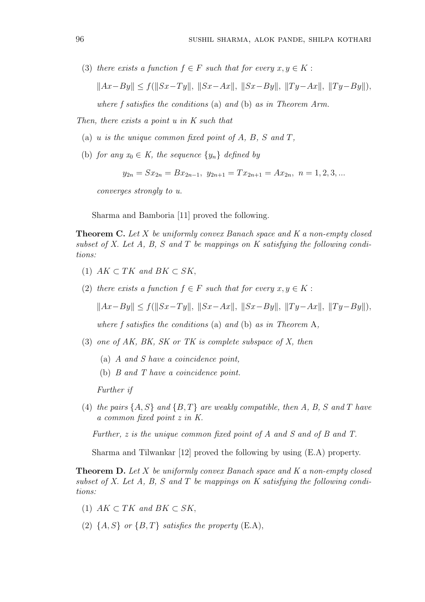(3) there exists a function  $f \in F$  such that for every  $x, y \in K$ :

$$
||Ax - By|| \le f(||Sx - Ty||, ||Sx - Ax||, ||Sx - By||, ||Ty - Ax||, ||Ty - By||),
$$

where f satisfies the conditions (a) and (b) as in Theorem Arm.

Then, there exists a point u in K such that

- (a) u is the unique common fixed point of  $A, B, S$  and  $T$ ,
- (b) for any  $x_0 \in K$ , the sequence  $\{y_n\}$  defined by

$$
y_{2n} = Sx_{2n} = Bx_{2n-1}, y_{2n+1} = Tx_{2n+1} = Ax_{2n}, n = 1, 2, 3, ...
$$

converges strongly to u.

Sharma and Bamboria [11] proved the following.

**Theorem C.** Let X be uniformly convex Banach space and K a non-empty closed subset of  $X$ . Let  $A$ ,  $B$ ,  $S$  and  $T$  be mappings on  $K$  satisfying the following conditions:

- (1)  $AK \subset TK$  and  $BK \subset SK$ .
- (2) there exists a function  $f \in F$  such that for every  $x, y \in K$ :

$$
||Ax - By|| \le f(||Sx - Ty||, ||Sx - Ax||, ||Sx - By||, ||Ty - Ax||, ||Ty - By||),
$$

where f satisfies the conditions (a) and (b) as in Theorem A,

- (3) one of AK, BK, SK or TK is complete subspace of X, then
	- (a) A and S have a coincidence point,
	- (b) B and T have a coincidence point.

Further if

(4) the pairs  $\{A, S\}$  and  $\{B, T\}$  are weakly compatible, then A, B, S and T have a common fixed point z in K.

Further, z is the unique common fixed point of A and S and of B and T.

Sharma and Tilwankar [12] proved the following by using (E.A) property.

**Theorem D.** Let X be uniformly convex Banach space and K a non-empty closed subset of X. Let A, B, S and T be mappings on K satisfying the following conditions:

- (1)  $AK \subset TK$  and  $BK \subset SK$ .
- (2)  $\{A, S\}$  or  $\{B, T\}$  satisfies the property (E.A),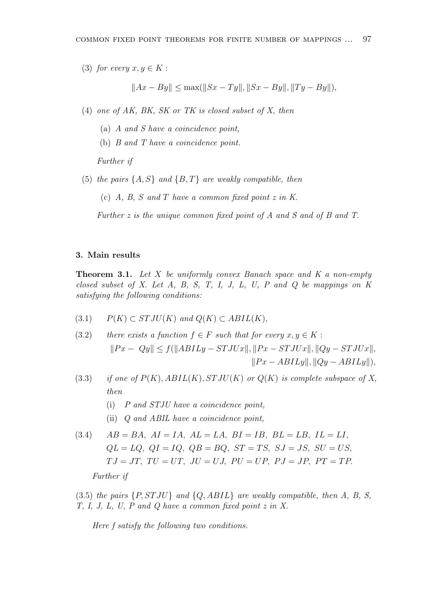(3) for every  $x, y \in K$ :

$$
||Ax - By|| \le \max(||Sx - Ty||, ||Sx - By||, ||Ty - By||),
$$

- (4) one of AK, BK, SK or TK is closed subset of X, then
	- (a) A and S have a coincidence point,
	- (b) B and T have a coincidence point.

Further if

(5) the pairs  $\{A, S\}$  and  $\{B, T\}$  are weakly compatible, then

(c)  $A, B, S \text{ and } T$  have a common fixed point z in K.

Further z is the unique common fixed point of A and S and of B and T.

### 3. Main results

**Theorem 3.1.** Let  $X$  be uniformly convex Banach space and  $K$  a non-empty closed subset of X. Let  $A$ ,  $B$ ,  $S$ ,  $T$ ,  $I$ ,  $J$ ,  $L$ ,  $U$ ,  $P$  and  $Q$  be mappings on  $K$ satisfying the following conditions:

- (3.1)  $P(K) \subset STJU(K)$  and  $Q(K) \subset ABIL(K)$ ,
- (3.2) there exists a function  $f \in F$  such that for every  $x, y \in K$ :  $||Px - Qy|| \le f(||ABILy - STJUx||, ||Px - STJUx||, ||Qy - STJUx||,$  $||Px - ABILy||, ||Qy - ABILy||),$
- (3.3) if one of  $P(K)$ ,  $ABIL(K)$ ,  $STJU(K)$  or  $Q(K)$  is complete subspace of X, then
	- (i) P and STJU have a coincidence point,
	- (ii) Q and ABIL have a coincidence point,

(3.4) 
$$
AB = BA, \quad AI = IA, \quad AL = LA, \quad BI = IB, \quad BL = LB, \quad IL = LI,
$$

$$
QL = LQ, \quad QI = IQ, \quad QB = BQ, \quad ST = TS, \quad SJ = JS, \quad SU = US,
$$

$$
TJ = JT, \quad TU = UT, \quad JU = UJ, \quad PU = UP, \quad PJ = JP, \quad PT = TP.
$$

Further if

 $(3.5)$  the pairs  $\{P, STJU\}$  and  $\{Q, ABIL\}$  are weakly compatible, then A, B, S, T, I, J, L, U, P and Q have a common fixed point z in X.

Here f satisfy the following two conditions.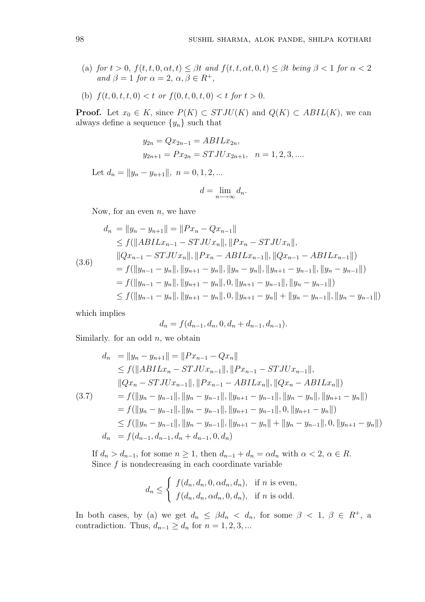- (a) for  $t > 0$ ,  $f(t, t, 0, \alpha t, t) \leq \beta t$  and  $f(t, t, \alpha t, 0, t) \leq \beta t$  being  $\beta < 1$  for  $\alpha < 2$ and  $\beta = 1$  for  $\alpha = 2, \alpha, \beta \in R^+$ ,
- (b)  $f(t, 0, t, t, 0) < t$  or  $f(0, t, 0, t, 0) < t$  for  $t > 0$ .

**Proof.** Let  $x_0 \in K$ , since  $P(K) \subset STJU(K)$  and  $Q(K) \subset ABIL(K)$ , we can always define a sequence  $\{y_n\}$  such that

$$
y_{2n} = Qx_{2n-1} = ABILx_{2n},
$$
  
\n $y_{2n+1} = Px_{2n} = STJUx_{2n+1}, \quad n = 1, 2, 3, ...$ 

Let  $d_n = ||y_n - y_{n+1}||$ ,  $n = 0, 1, 2, ...$ 

$$
d = \lim_{n \to \infty} d_n.
$$

Now, for an even  $n$ , we have

$$
d_n = \|y_n - y_{n+1}\| = \|Px_n - Qx_{n-1}\|
$$
  
\n
$$
\leq f(||ABILx_{n-1} - STJUx_n||, ||Px_n - STJUx_n||,
$$
  
\n
$$
||Qx_{n-1} - STJUx_n||, ||Px_n - ABILx_{n-1}||, ||Qx_{n-1} - ABILx_{n-1}||)
$$
  
\n
$$
= f(||y_{n-1} - y_n||, ||y_{n+1} - y_n||, ||y_n - y_n||, ||y_{n+1} - y_{n-1}||, ||y_n - y_{n-1}||)
$$
  
\n
$$
= f(||y_{n-1} - y_n||, ||y_{n+1} - y_n||, 0, ||y_{n+1} - y_{n-1}||, ||y_n - y_{n-1}||)
$$
  
\n
$$
\leq f(||y_{n-1} - y_n||, ||y_{n+1} - y_n||, 0, ||y_{n+1} - y_n|| + ||y_n - y_{n-1}||, ||y_n - y_{n-1}||)
$$

which implies

$$
d_n = f(d_{n-1}, d_n, 0, d_n + d_{n-1}, d_{n-1}).
$$

Similarly. for an odd  $n$ , we obtain

$$
d_n = ||y_n - y_{n+1}|| = ||Px_{n-1} - Qx_n||
$$
  
\n
$$
\leq f(||ABILx_n - STJUx_{n-1}||, ||Px_{n-1} - STJUx_{n-1}||,
$$
  
\n
$$
||Qx_n - STJUx_{n-1}||, ||Px_{n-1} - ABILx_n||, ||Qx_n - ABILx_n||)
$$
  
\n(3.7) 
$$
= f(||y_n - y_{n-1}||, ||y_n - y_{n-1}||, ||y_{n+1} - y_{n-1}||, ||y_n - y_n||, ||y_{n+1} - y_n||)
$$
  
\n
$$
= f(||y_n - y_{n-1}||, ||y_n - y_{n-1}||, ||y_{n+1} - y_{n-1}||, 0, ||y_{n+1} - y_n||)
$$
  
\n
$$
\leq f(||y_n - y_{n-1}||, ||y_n - y_{n-1}||, ||y_{n+1} - y_n|| + ||y_n - y_{n-1}||, 0, ||y_{n+1} - y_n||)
$$
  
\n
$$
d_n = f(d_{n-1}, d_{n-1}, d_n + d_{n-1}, 0, d_n)
$$

If  $d_n > d_{n-1}$ , for some  $n \geq 1$ , then  $d_{n-1} + d_n = \alpha d_n$  with  $\alpha < 2, \alpha \in R$ . Since  $f$  is nondecreasing in each coordinate variable

$$
d_n \leq \begin{cases} f(d_n, d_n, 0, \alpha d_n, d_n), & \text{if } n \text{ is even,} \\ f(d_n, d_n, \alpha d_n, 0, d_n), & \text{if } n \text{ is odd.} \end{cases}
$$

In both cases, by (a) we get  $d_n \leq \beta d_n < d_n$ , for some  $\beta < 1, \beta \in R^+$ , a contradiction. Thus,  $d_{n-1} \geq d_n$  for  $n = 1, 2, 3, ...$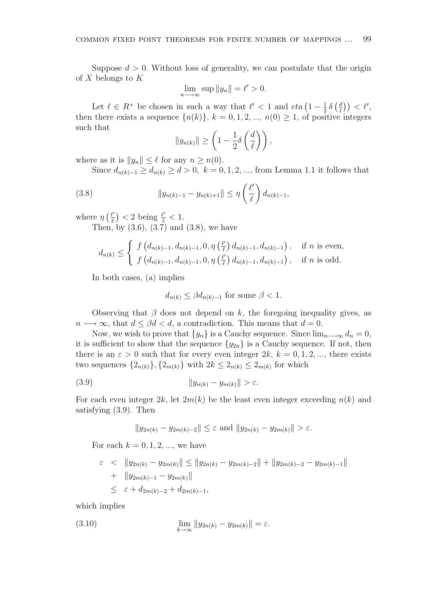Suppose  $d > 0$ . Without loss of generality, we can postulate that the origin of  $X$  belongs to  $K$ 

$$
\lim_{n \to \infty} \sup \|y_n\| = \ell' > 0.
$$

Let  $\ell \in R^+$  be chosen in such a way that  $\ell' < 1$  and  $eta \left(1 - \frac{1}{2}\right)$  $rac{1}{2}$   $\delta$  $\int d$  $\left(\frac{d}{\ell}\right)\right) < \ell',$ then there exists a sequence  $\{n(k)\}, k = 0, 1, 2, ..., n(0) \geq 1$ , of positive integers such that  $\overline{a}$  $\sqrt{ }$ 

$$
||y_{n(k)}|| \ge \left(1 - \frac{1}{2}\delta\left(\frac{d}{\ell}\right)\right),\,
$$

where as it is  $||y_n|| \leq \ell$  for any  $n \geq n(0)$ .

Since  $d_{n(k)-1} \geq d_{n(k)} \geq d > 0$ ,  $k = 0, 1, 2, ...,$  from Lemma 1.1 it follows that

(3.8) 
$$
||y_{n(k)-1} - y_{n(k)+1}|| \leq \eta \left(\frac{\ell'}{\ell}\right) d_{n(k)-1},
$$

where  $\eta$  $\ell'$  $\ell$ ¢  $<$  2 being  $\frac{\ell'}{\ell}$  < 1.

Then, by  $(3.6)$ ,  $(3.7)$  and  $(3.8)$ , we have

$$
d_{n(k)} \leq \begin{cases} f\left(d_{n(k)-1}, d_{n(k)-1}, 0, \eta\left(\frac{\ell'}{\ell}\right) d_{n(k)-1}, d_{n(k)-1}\right), & \text{if } n \text{ is even,} \\ f\left(d_{n(k)-1}, d_{n(k)-1}, 0, \eta\left(\frac{\ell'}{\ell}\right) d_{n(k)-1}, d_{n(k)-1}\right), & \text{if } n \text{ is odd.} \end{cases}
$$

In both cases, (a) implies

$$
d_{n(k)} \leq \beta d_{n(k)-1} \text{ for some } \beta < 1.
$$

Observing that  $\beta$  does not depend on k, the foregoing inequality gives, as  $n \longrightarrow \infty$ , that  $d \leq \beta d < d$ , a contradiction. This means that  $d = 0$ .

Now, we wish to prove that  $\{y_n\}$  is a Cauchy sequence. Since  $\lim_{n\to\infty} d_n = 0$ , it is sufficient to show that the sequence  $\{y_{2n}\}\$ is a Cauchy sequence. If not, then there is an  $\varepsilon > 0$  such that for every even integer  $2k, k = 0, 1, 2, \dots$ , there exists two sequences  $\{2_{n(k)}\}, \{2_{m(k)}\}$  with  $2k \leq 2_{n(k)} \leq 2_{m(k)}$  for which

$$
(3.9) \t\t\t ||y_{n(k)} - y_{m(k)}|| > \varepsilon.
$$

For each even integer  $2k$ , let  $2m(k)$  be the least even integer exceeding  $n(k)$  and satisfying (3.9). Then

$$
||y_{2n(k)} - y_{2m(k)-2}|| \leq \varepsilon \text{ and } ||y_{2n(k)} - y_{2m(k)}|| > \varepsilon.
$$

For each  $k = 0, 1, 2, ...$ , we have

$$
\varepsilon < \|y_{2n(k)} - y_{2m(k)}\| \le \|y_{2n(k)} - y_{2m(k)-2}\| + \|y_{2m(k)-2} - y_{2m(k)-1}\|
$$
\n
$$
+ \|y_{2m(k)-1} - y_{2m(k)}\|
$$
\n
$$
\le \varepsilon + d_{2m(k)-2} + d_{2m(k)-1},
$$

which implies

(3.10) 
$$
\lim_{k \to \infty} ||y_{2n(k)} - y_{2m(k)}|| = \varepsilon.
$$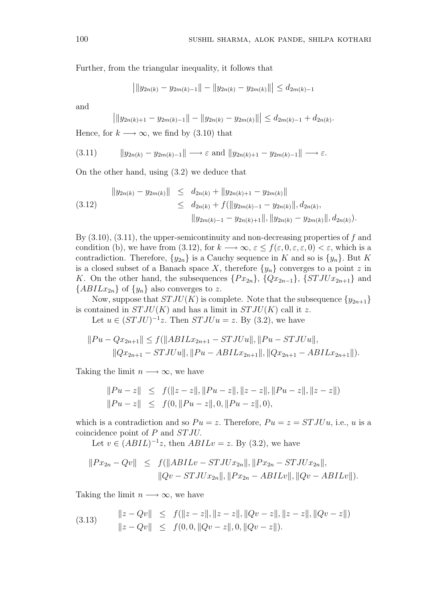Further, from the triangular inequality, it follows that

$$
\left| \|y_{2n(k)} - y_{2m(k)-1} \| - \|y_{2n(k)} - y_{2m(k)} \| \right| \le d_{2m(k)-1}
$$

and

$$
\left| \|y_{2n(k)+1} - y_{2m(k)-1} \| - \|y_{2n(k)} - y_{2m(k)} \| \right| \le d_{2m(k)-1} + d_{2n(k)}.
$$

Hence, for  $k \longrightarrow \infty$ , we find by (3.10) that

$$
(3.11) \t\t ||y_{2n(k)} - y_{2m(k)-1}|| \longrightarrow \varepsilon \text{ and } ||y_{2n(k)+1} - y_{2m(k)-1}|| \longrightarrow \varepsilon.
$$

On the other hand, using (3.2) we deduce that

$$
\|y_{2n(k)} - y_{2m(k)}\| \le d_{2n(k)} + \|y_{2n(k)+1} - y_{2m(k)}\|
$$
  
\n
$$
\le d_{2n(k)} + f(\|y_{2m(k)-1} - y_{2n(k)}\|, d_{2n(k)},
$$
  
\n
$$
\|y_{2m(k)-1} - y_{2n(k)+1}\|, \|y_{2n(k)} - y_{2m(k)}\|, d_{2n(k)}).
$$

By  $(3.10)$ ,  $(3.11)$ , the upper-semicontinuity and non-decreasing properties of f and condition (b), we have from (3.12), for  $k \longrightarrow \infty$ ,  $\varepsilon \leq f(\varepsilon, 0, \varepsilon, \varepsilon, 0) < \varepsilon$ , which is a contradiction. Therefore,  $\{y_{2n}\}\$ is a Cauchy sequence in K and so is  $\{y_n\}$ . But K is a closed subset of a Banach space X, therefore  $\{y_n\}$  converges to a point z in K. On the other hand, the subsequences  $\{Px_{2n}\}, \{Qx_{2n-1}\}, \{STJUx_{2n+1}\}\$  and  $\{ABILx_{2n}\}\$  of  $\{y_n\}$  also converges to z.

Now, suppose that  $STJU(K)$  is complete. Note that the subsequence  $\{y_{2n+1}\}$ is contained in  $STJU(K)$  and has a limit in  $STJU(K)$  call it z.

Let  $u \in (STJU)^{-1}z$ . Then  $STJUu = z$ . By (3.2), we have

$$
||Pu - Qx_{2n+1}|| \le f(||ABILx_{2n+1} - STJUu||, ||Pu - STJUu||,||Qx_{2n+1} - STJUu||, ||Pu - ABILx_{2n+1}||, ||Qx_{2n+1} - ABILx_{2n+1}||).
$$

Taking the limit  $n \longrightarrow \infty$ , we have

$$
||Pu - z|| \leq f(||z - z||, ||Pu - z||, ||z - z||, ||Pu - z||, ||z - z||)
$$
  

$$
||Pu - z|| \leq f(0, ||Pu - z||, 0, ||Pu - z||, 0),
$$

which is a contradiction and so  $Pu = z$ . Therefore,  $Pu = z = STJUu$ , i.e., u is a coincidence point of P and ST JU.

Let  $v \in (ABIL)^{-1}z$ , then  $ABILv = z$ . By (3.2), we have

$$
||Px_{2n} - Qv|| \le f(||ABILv - STJUx_{2n}||, ||Px_{2n} - STJUx_{2n}||,
$$
  

$$
||Qv - STJUx_{2n}||, ||Px_{2n} - ABILv||, ||Qv - ABILv||).
$$

Taking the limit  $n \longrightarrow \infty$ , we have

(3.13) 
$$
\|z - Qv\| \le f(\|z - z\|, \|z - z\|, \|Qv - z\|, \|z - z\|, \|Qv - z\|)
$$

$$
\|z - Qv\| \le f(0, 0, \|Qv - z\|, 0, \|Qv - z\|).
$$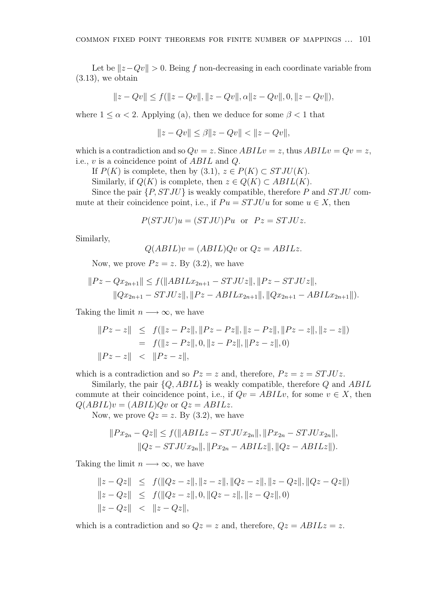Let be  $||z-Qv|| > 0$ . Being f non-decreasing in each coordinate variable from  $(3.13)$ , we obtain

$$
||z - Qv|| \le f(||z - Qv||, ||z - Qv||, \alpha ||z - Qv||, 0, ||z - Qv||),
$$

where  $1 \leq \alpha < 2$ . Applying (a), then we deduce for some  $\beta < 1$  that

$$
||z - Qv|| \le \beta ||z - Qv|| < ||z - Qv||,
$$

which is a contradiction and so  $Qv = z$ . Since  $ABILv = z$ , thus  $ABILv = Qv = z$ , i.e., v is a coincidence point of ABIL and Q.

If  $P(K)$  is complete, then by  $(3.1), z \in P(K) \subset STJU(K)$ .

Similarly, if  $Q(K)$  is complete, then  $z \in Q(K) \subset ABIL(K)$ .

Since the pair  $\{P, STJU\}$  is weakly compatible, therefore P and  $STJU$  commute at their coincidence point, i.e., if  $Pu = STJUu$  for some  $u \in X$ , then

$$
P(STJU)u = (STJU)Pu
$$
 or  $Pz = STJUz$ .

Similarly,

$$
Q(ABIL)v = (ABIL)Qv
$$
 or  $Qz = ABILz$ .

Now, we prove  $Pz = z$ . By (3.2), we have

$$
||Pz - Qx_{2n+1}|| \le f(||ABILx_{2n+1} - STJUz||, ||Pz - STJUz||, ||Qx_{2n+1} - STJUz||, ||Pz - ABILx_{2n+1}||, ||Qx_{2n+1} - ABILx_{2n+1}||).
$$

Taking the limit  $n \longrightarrow \infty$ , we have

$$
||Pz - z|| \leq f(||z - Pz||, ||Pz - Pz||, ||z - Pz||, ||Pz - z||, ||z - z||)
$$
  
=  $f(||z - Pz||, 0, ||z - Pz||, ||Pz - z||, 0)$   
 $||Pz - z|| < ||Pz - z||,$ 

which is a contradiction and so  $Pz = z$  and, therefore,  $Pz = z = STJUz$ .

Similarly, the pair  $\{Q, ABIL\}$  is weakly compatible, therefore Q and ABIL commute at their coincidence point, i.e., if  $Qv = ABILv$ , for some  $v \in X$ , then  $Q(ABIL)v = (ABIL)Qv$  or  $Qz = ABILz$ .

Now, we prove  $Qz = z$ . By  $(3.2)$ , we have

$$
||Px_{2n} - Qz|| \le f(||ABILz - STJUx_{2n}||, ||Px_{2n} - STJUx_{2n}||,
$$
  

$$
||Qz - STJUx_{2n}||, ||Px_{2n} - ABILz||, ||Qz - ABILz||).
$$

Taking the limit  $n \longrightarrow \infty$ , we have

$$
||z - Qz|| \leq f(||Qz - z||, ||z - z||, ||Qz - z||, ||z - Qz||, ||Qz - Qz||)
$$
  
\n
$$
||z - Qz|| \leq f(||Qz - z||, 0, ||Qz - z||, ||z - Qz||, 0)
$$
  
\n
$$
||z - Qz|| < ||z - Qz||,
$$

which is a contradiction and so  $Qz = z$  and, therefore,  $Qz = ABILz = z$ .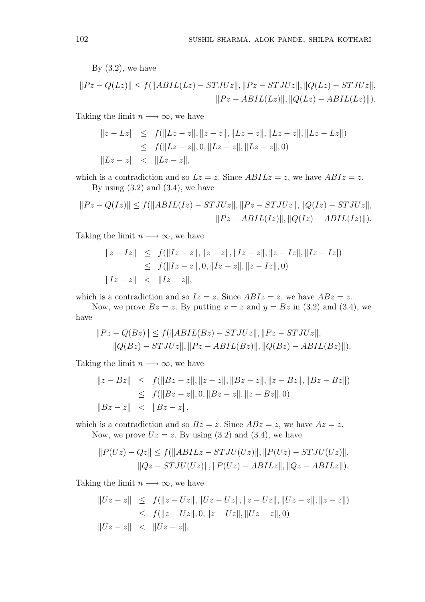By  $(3.2)$ , we have

$$
||Pz - Q(Lz)|| \le f(||ABIL(Lz) - STJUz||, ||Pz - STJUz||, ||Q(Lz) - STJUz||,
$$
  

$$
||Pz - ABIL(Lz)||, ||Q(Lz) - ABIL(Lz)||).
$$

Taking the limit  $n \longrightarrow \infty$ , we have

$$
||z - Lz|| \leq f(||Lz - z||, ||z - z||, ||Lz - z||, ||Lz - z||, ||Lz - Lz||)
$$
  
\n
$$
\leq f(||Lz - z||, 0, ||Lz - z||, ||Lz - z||, 0)
$$
  
\n
$$
||Lz - z|| < ||Lz - z||,
$$

which is a contradiction and so  $Lz = z$ . Since  $ABILz = z$ , we have  $ABIz = z$ . By using  $(3.2)$  and  $(3.4)$ , we have

$$
||Pz - Q(Iz)|| \le f(||ABIL(Iz) - STJUz||, ||Pz - STJUz||, ||Q(Iz) - STJUz||,
$$
  

$$
||Pz - ABIL(Iz)||, ||Q(Iz) - ABIL(Iz)||).
$$

Taking the limit  $n \longrightarrow \infty$ , we have

$$
||z - Iz|| \leq f(||Iz - z||, ||z - z||, ||Iz - z||, ||z - Iz||, ||Iz - Iz||)
$$
  
\n
$$
\leq f(||Iz - z||, 0, ||Iz - z||, ||z - Iz||, 0)
$$
  
\n
$$
||Iz - z|| < ||Iz - z||,
$$

which is a contradiction and so  $Iz = z$ . Since  $ABIz = z$ , we have  $ABz = z$ .

Now, we prove  $Bz = z$ . By putting  $x = z$  and  $y = Bz$  in (3.2) and (3.4), we have

$$
||Pz - Q(Bz)|| \le f(||ABIL(Bz) - STJUz||, ||Pz - STJUz||, ||Q(Bz) - STJUz||, ||Pz - ABIL(Bz)||, ||Q(Bz) - ABIL(Bz)||).
$$

Taking the limit  $n \longrightarrow \infty$ , we have

$$
||z - Bz|| \leq f(||Bz - z||, ||z - z||, ||Bz - z||, ||z - Bz||, ||Bz - Bz||)
$$
  
\n
$$
\leq f(||Bz - z||, 0, ||Bz - z||, ||z - Bz||, 0)
$$
  
\n
$$
||Bz - z|| < ||Bz - z||,
$$

which is a contradiction and so  $Bz = z$ . Since  $ABz = z$ , we have  $Az = z$ . Now, we prove  $Uz = z$ . By using (3.2) and (3.4), we have

$$
||P(Uz) - Qz|| \le f(||ABILz - STJU(Uz)||, ||P(Uz) - STJU(Uz)||,
$$
  

$$
||Qz - STJU(Uz)||, ||P(Uz) - ABILz||, ||Qz - ABILz||).
$$

Taking the limit  $n \longrightarrow \infty$ , we have

$$
||Uz - z|| \leq f(||z - Uz||, ||Uz - Uz||, ||z - Uz||, ||Uz - z||, ||z - z||)
$$
  
\n
$$
\leq f(||z - Uz||, 0, ||z - Uz||, ||Uz - z||, 0)
$$
  
\n
$$
||Uz - z|| < ||Uz - z||,
$$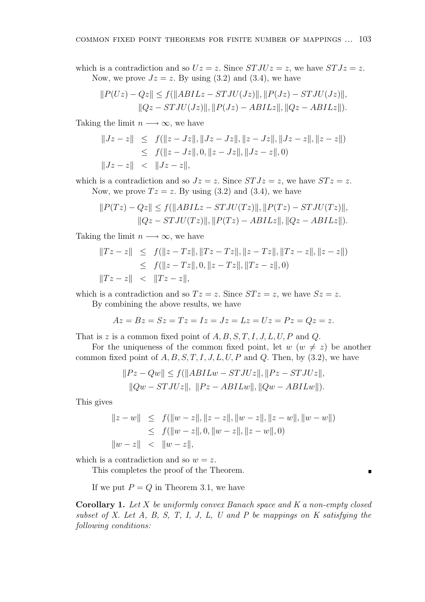which is a contradiction and so  $Uz = z$ . Since  $STJUz = z$ , we have  $STJz = z$ . Now, we prove  $Jz = z$ . By using (3.2) and (3.4), we have

$$
||P(Uz) - Qz|| \le f(||ABILz - STJU(Jz)||, ||P(Jz) - STJU(Jz)||, ||Qz - STJU(Jz)||, ||P(Jz) - ABILz||, ||Qz - ABILz||).
$$

Taking the limit  $n \longrightarrow \infty$ , we have

$$
||Jz - z|| \leq f(||z - Jz||, ||Jz - Jz||, ||z - Jz||, ||Jz - z||, ||z - z||)
$$
  
\n
$$
\leq f(||z - Jz||, 0, ||z - Jz||, ||Jz - z||, 0)
$$
  
\n
$$
||Jz - z|| < ||Jz - z||,
$$

which is a contradiction and so  $Jz = z$ . Since  $STJz = z$ , we have  $STz = z$ . Now, we prove  $Tz = z$ . By using (3.2) and (3.4), we have

$$
||P(Tz) - Qz|| \le f(||ABILz - STJU(Tz)||, ||P(Tz) - STJU(Tz)||, ||Qz - STJU(Tz)||, ||P(Tz) - ABILz||, ||Qz - ABILz||).
$$

Taking the limit  $n \longrightarrow \infty$ , we have

$$
||Tz - z|| \leq f(||z - Tz||, ||Tz - Tz||, ||z - Tz||, ||Tz - z||, ||z - z||)
$$
  
\n
$$
\leq f(||z - Tz||, 0, ||z - Tz||, ||Tz - z||, 0)
$$
  
\n
$$
||Tz - z|| < ||Tz - z||,
$$

which is a contradiction and so  $Tz = z$ . Since  $STz = z$ , we have  $Sz = z$ .

By combining the above results, we have

$$
Az = Bz = Sz = Tz = Iz = Jz = Lz = Uz = Pz = Qz = z.
$$

That is z is a common fixed point of  $A, B, S, T, I, J, L, U, P$  and Q.

For the uniqueness of the common fixed point, let  $w (w \neq z)$  be another common fixed point of  $A, B, S, T, I, J, L, U, P$  and  $Q$ . Then, by  $(3.2)$ , we have

$$
||Pz - Qw|| \le f(||ABILw - STJUz||, ||Pz - STJUz||, ||Qw - STJUz||, ||Pz - ABILw||, ||Qw - ABILw||).
$$

This gives

$$
||z - w|| \leq f(||w - z||, ||z - z||, ||w - z||, ||z - w||, ||w - w||)
$$
  
\n
$$
\leq f(||w - z||, 0, ||w - z||, ||z - w||, 0)
$$
  
\n
$$
||w - z|| < ||w - z||,
$$

 $\blacksquare$ 

which is a contradiction and so  $w = z$ .

This completes the proof of the Theorem.

If we put  $P = Q$  in Theorem 3.1, we have

**Corollary 1.** Let X be uniformly convex Banach space and K a non-empty closed subset of X. Let  $A$ ,  $B$ ,  $S$ ,  $T$ ,  $I$ ,  $J$ ,  $L$ ,  $U$  and  $P$  be mappings on  $K$  satisfying the following conditions: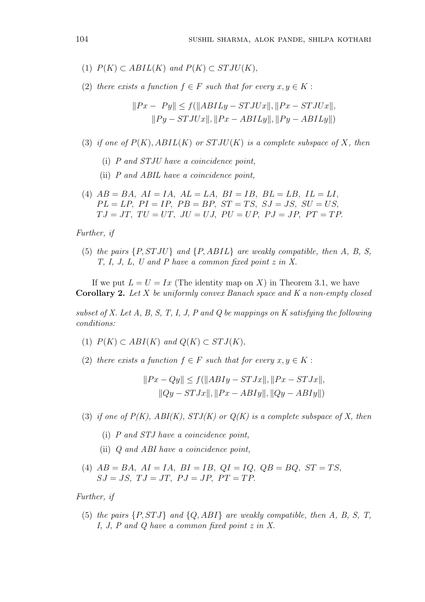- (1)  $P(K) \subset ABIL(K)$  and  $P(K) \subset STJU(K)$ ,
- (2) there exists a function  $f \in F$  such that for every  $x, y \in K$ :

$$
||Px - Py|| \le f(||ABILy - STJUx||, ||Px - STJUx||, ||Py - STJUx||, ||Px - ABILy||, ||Py - ABILy||)
$$

- (3) if one of  $P(K)$ ,  $ABIL(K)$  or  $STJU(K)$  is a complete subspace of X, then
	- (i) P and STJU have a coincidence point,
	- (ii) P and ABIL have a coincidence point,
- (4)  $AB = BA$ ,  $AI = IA$ ,  $AL = LA$ ,  $BI = IB$ ,  $BL = LB$ ,  $IL = LI$ ,  $PL = LP$ ,  $PI = IP$ ,  $PB = BP$ ,  $ST = TS$ ,  $SJ = JS$ ,  $SU = US$ ,  $TJ = JT, TU = UT, JU = UJ, PU = UP, PJ = JP, PT = TP.$

#### Further, if

(5) the pairs {P, ST JU} and {P, ABIL} are weakly compatible, then A, B, S, T, I, J, L, U and P have a common fixed point z in X.

If we put  $L = U = Ix$  (The identity map on X) in Theorem 3.1, we have Corollary 2. Let X be uniformly convex Banach space and K a non-empty closed

subset of X. Let A, B, S, T, I, J, P and Q be mappings on K satisfying the following conditions:

- (1)  $P(K) \subset ABI(K)$  and  $Q(K) \subset STJ(K)$ ,
- (2) there exists a function  $f \in F$  such that for every  $x, y \in K$ :

$$
||Px - Qy|| \le f(||ABIy - STJx||, ||Px - STJx||, ||Qy - STJx||, ||Px - ABIy||, ||Qy - ABIy||)
$$

- (3) if one of  $P(K)$ ,  $ABI(K)$ ,  $STJ(K)$  or  $Q(K)$  is a complete subspace of X, then
	- (i) P and STJ have a coincidence point,
	- (ii) Q and ABI have a coincidence point,
- (4)  $AB = BA$ ,  $AI = IA$ ,  $BI = IB$ ,  $QI = IQ$ ,  $QB = BQ$ ,  $ST = TS$ ,  $SJ = JS, TJ = JT, PJ = JP, PT = TP$ .

### Further, if

(5) the pairs  $\{P, STJ\}$  and  $\{Q, ABI\}$  are weakly compatible, then A, B, S, T, I, J, P and Q have a common fixed point z in X.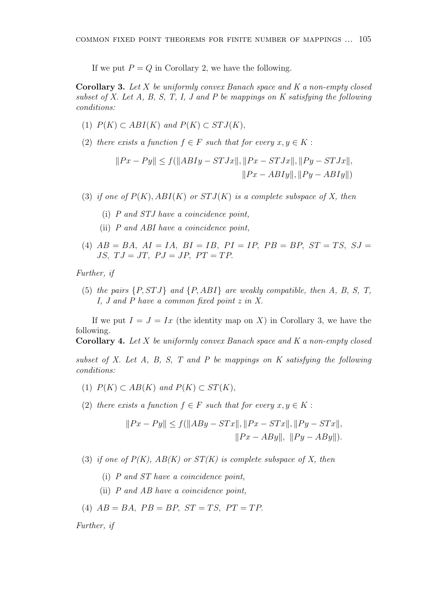If we put  $P = Q$  in Corollary 2, we have the following.

Corollary 3. Let X be uniformly convex Banach space and K a non-empty closed subset of X. Let  $A$ ,  $B$ ,  $S$ ,  $T$ ,  $I$ ,  $J$  and  $P$  be mappings on  $K$  satisfying the following conditions:

- (1)  $P(K) \subset ABI(K)$  and  $P(K) \subset STJ(K)$ ,
- (2) there exists a function  $f \in F$  such that for every  $x, y \in K$ :

$$
||Px - Py|| \le f(||ABIy - STJx||, ||Px - STJx||, ||Py - STJx||,
$$
  

$$
||Px - ABIy||, ||Py - ABIy||)
$$

- (3) if one of  $P(K)$ ,  $ABI(K)$  or  $STJ(K)$  is a complete subspace of X, then
	- (i) P and STJ have a coincidence point,
	- (ii) P and ABI have a coincidence point,
- (4)  $AB = BA$ ,  $AI = IA$ ,  $BI = IB$ ,  $PI = IP$ ,  $PB = BP$ ,  $ST = TS$ ,  $SJ =$ JS,  $TJ = JT$ ,  $PJ = JP$ ,  $PT = TP$ .

Further, if

(5) the pairs  $\{P, STJ\}$  and  $\{P, ABI\}$  are weakly compatible, then A, B, S, T, I, J and P have a common fixed point z in X.

If we put  $I = J = Ix$  (the identity map on X) in Corollary 3, we have the following.

**Corollary 4.** Let X be uniformly convex Banach space and K a non-empty closed

subset of X. Let A, B, S, T and P be mappings on K satisfying the following conditions:

- (1)  $P(K) \subset AB(K)$  and  $P(K) \subset ST(K)$ ,
- (2) there exists a function  $f \in F$  such that for every  $x, y \in K$ :

$$
||Px - Py|| \le f(||ABy - STx||, ||Px - STx||, ||Py - STx||,
$$
  

$$
||Px - ABy||, ||Py - ABy||).
$$

- (3) if one of  $P(K)$ ,  $AB(K)$  or  $ST(K)$  is complete subspace of X, then
	- (i) P and ST have a coincidence point,
	- (ii) P and AB have a coincidence point,
- (4)  $AB = BA$ ,  $PB = BP$ ,  $ST = TS$ ,  $PT = TP$ .

Further, if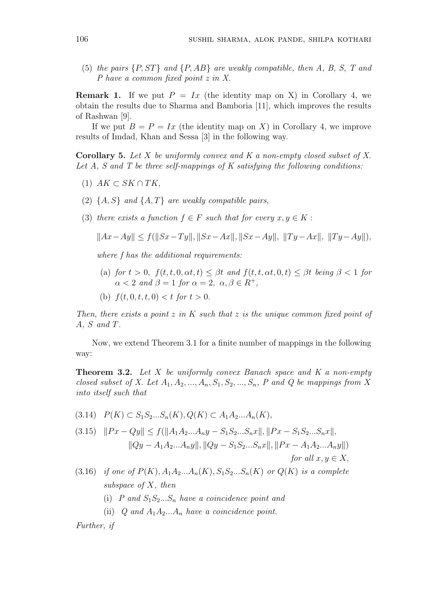(5) the pairs  $\{P, ST\}$  and  $\{P, AB\}$  are weakly compatible, then A, B, S, T and P have a common fixed point z in X.

**Remark 1.** If we put  $P = Ix$  (the identity map on X) in Corollary 4, we obtain the results due to Sharma and Bamboria [11], which improves the results of Rashwan [9].

If we put  $B = P = Ix$  (the identity map on X) in Corollary 4, we improve results of Imdad, Khan and Sessa [3] in the following way.

**Corollary 5.** Let X be uniformly convex and K a non-empty closed subset of X. Let  $A$ ,  $S$  and  $T$  be three self-mappings of  $K$  satisfying the following conditions:

- $(1)$   $AK \subset SK \cap TK$ ,
- (2)  $\{A, S\}$  and  $\{A, T\}$  are weakly compatible pairs,
- (3) there exists a function  $f \in F$  such that for every  $x, y \in K$ :

$$
||Ax - Ay|| \le f(||Sx - Ty||, ||Sx - Ax||, ||Sx - Ay||, ||Ty - Ax||, ||Ty - Ay||),
$$

where f has the additional requirements:

- (a) for  $t > 0$ ,  $f(t, t, 0, \alpha t, t) \leq \beta t$  and  $f(t, t, \alpha t, 0, t) \leq \beta t$  being  $\beta < 1$  for  $\alpha < 2$  and  $\beta = 1$  for  $\alpha = 2$ ,  $\alpha, \beta \in R^+$ ,
- (b)  $f(t, 0, t, t, 0) < t$  for  $t > 0$ .

Then, there exists a point  $z$  in  $K$  such that  $z$  is the unique common fixed point of A, S and T.

Now, we extend Theorem 3.1 for a finite number of mappings in the following way:

**Theorem 3.2.** Let  $X$  be uniformly convex Banach space and  $K$  a non-empty closed subset of X. Let  $A_1, A_2, ..., A_n, S_1, S_2, ..., S_n$ , P and Q be mappings from X into itself such that

 $(3.14)$   $P(K) \subset S_1S_2...S_n(K)$ ,  $Q(K) \subset A_1A_2...A_n(K)$ ,

$$
(3.15) \quad ||Px - Qy|| \le f(||A_1A_2...A_ny - S_1S_2...S_nx||, ||Px - S_1S_2...S_nx||,
$$
  

$$
||Qy - A_1A_2...A_ny||, ||Qy - S_1S_2...S_nx||, ||Px - A_1A_2...A_ny||)
$$
  
for all  $x, y \in X$ ,

- (3.16) if one of  $P(K)$ ,  $A_1A_2...A_n(K)$ ,  $S_1S_2...S_n(K)$  or  $Q(K)$  is a complete subspace of X, then
	- (i) P and  $S_1S_2...S_n$  have a coincidence point and
	- (ii) Q and  $A_1A_2...A_n$  have a coincidence point.

Further, if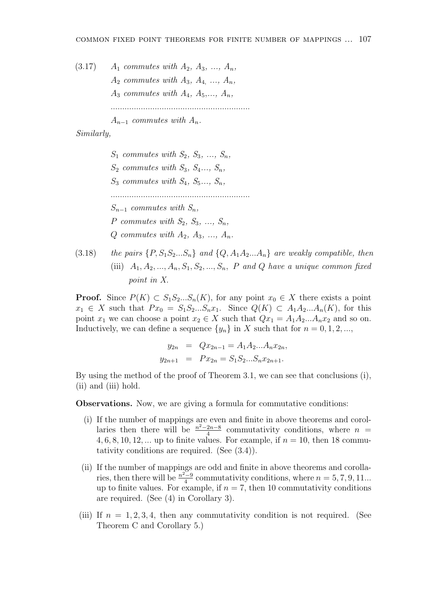(3.17) 
$$
A_1
$$
 commutes with  $A_2$ ,  $A_3$ , ...,  $A_n$ ,  $A_2$  commutes with  $A_3$ ,  $A_4$ , ...,  $A_n$ ,  $A_3$  commutes with  $A_4$ ,  $A_5$ , ...,  $A_n$ , ...

 $A_{n-1}$  commutes with  $A_n$ .

### Similarly,

 $S_1$  commutes with  $S_2, S_3, \ldots, S_n$ ,  $S_2$  commutes with  $S_3$ ,  $S_4$ ...,  $S_n$ ,  $S_3$  commutes with  $S_4$ ,  $S_5$ ...,  $S_n$ , ............................................................  $S_{n-1}$  commutes with  $S_n$ , P commutes with  $S_2, S_3, \ldots, S_n$ ,  $Q$  commutes with  $A_2, A_3, \ldots, A_n$ .

(3.18) the pairs  $\{P, S_1S_2...S_n\}$  and  $\{Q, A_1A_2...A_n\}$  are weakly compatible, then (iii)  $A_1, A_2, ..., A_n, S_1, S_2, ..., S_n, P$  and Q have a unique common fixed point in X.

**Proof.** Since  $P(K) \subset S_1S_2...S_n(K)$ , for any point  $x_0 \in X$  there exists a point  $x_1 \in X$  such that  $Px_0 = S_1S_2...S_nx_1$ . Since  $Q(K) \subset A_1A_2...A_n(K)$ , for this point  $x_1$  we can choose a point  $x_2 \in X$  such that  $Qx_1 = A_1A_2...A_nx_2$  and so on. Inductively, we can define a sequence  $\{y_n\}$  in X such that for  $n = 0, 1, 2, \ldots$ ,

$$
y_{2n} = Qx_{2n-1} = A_1 A_2 ... A_n x_{2n},
$$
  

$$
y_{2n+1} = Px_{2n} = S_1 S_2 ... S_n x_{2n+1}.
$$

By using the method of the proof of Theorem 3.1, we can see that conclusions (i), (ii) and (iii) hold.

Observations. Now, we are giving a formula for commutative conditions:

- (i) If the number of mappings are even and finite in above theorems and corollaries then there will be  $\frac{n^2-2n-8}{4}$  $\frac{2n-8}{4}$  commutativity conditions, where  $n =$ 4, 6, 8, 10, 12, ... up to finite values. For example, if  $n = 10$ , then 18 commutativity conditions are required. (See (3.4)).
- (ii) If the number of mappings are odd and finite in above theorems and corollaries, then there will be  $\frac{n^2-9}{4}$  $\frac{q-9}{4}$  commutativity conditions, where  $n = 5, 7, 9, 11...$ up to finite values. For example, if  $n = 7$ , then 10 commutativity conditions are required. (See (4) in Corollary 3).
- (iii) If  $n = 1, 2, 3, 4$ , then any commutativity condition is not required. (See Theorem C and Corollary 5.)